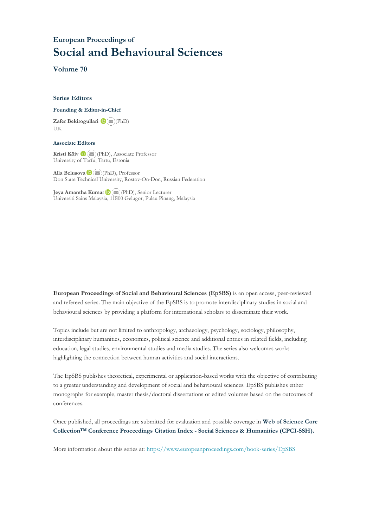# **European Proceedings of Social and Behavioural Sciences**

**Volume 70**

#### **Series Editors**

#### **Founding & Editor-in-Chief**

**Zafer Bekirogullari**(PhD) UK

#### **Associate Editors**

**Kristi Köiv** (PhD), Associate Professor University of Tartu, Tartu, Estonia

**Alla Belusova**(PhD), Professor Don State Technical University, Rostov-On-Don, Russian Federation

**Jeya Amantha Kumar**(PhD), Senior Lecturer Universiti Sains Malaysia, [1180](mailto:amantha@usm.my)0 Gelugor, Pulau Pinang, Malaysia

**European Proceedings of Social and Behavioural Sciences (EpSBS)** is an open access, peer-reviewed and refereed series. The main objective of the EpSBS is to promote interdisciplinary studies in social and behavioural sciences by providing a platform for international scholars to disseminate their work.

Topics include but are not limited to anthropology, archaeology, psychology, sociology, philosophy, interdisciplinary humanities, economics, political science and additional entries in related fields, including education, legal studies, environmental studies and media studies. The series also welcomes works highlighting the connection between human activities and social interactions.

The EpSBS publishes theoretical, experimental or application-based works with the objective of contributing to a greater understanding and development of social and behavioural sciences. EpSBS publishes either monographs for example, master thesis/doctoral dissertations or edited volumes based on the outcomes of conferences.

Once published, all proceedings are submitted for evaluation and possible coverage in **Web of [Science](https://clarivate.com/webofsciencegroup/solutions/webofscience-cpci/) Core Collection™ Conference Proceedings Citation Index - Social Sciences & Humanities [\(CPCI-SSH\).](https://clarivate.com/webofsciencegroup/solutions/webofscience-cpci/)**

More information about this series at[: https://www.europeanproceedings.com/book-series/EpSBS](https://www.europeanproceedings.com/book-series/EpSBS)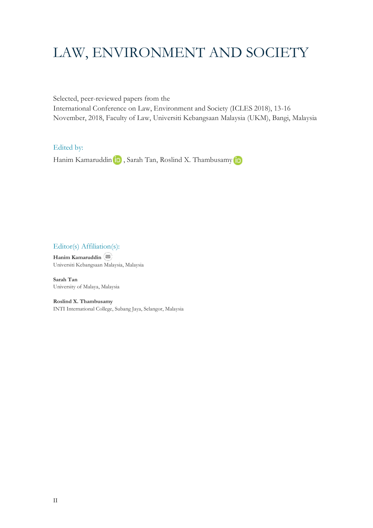# LAW, ENVIRONMENT AND SOCIETY

Selected, peer-reviewed papers from the International Conference on Law, Environment and Society (ICLES 2018), 13-16 November, 2018, Faculty of Law, Universiti Kebangsaan Malaysia (UKM), Bangi, Malaysia

Edited by:

HanimKamaruddin (D), Sarah Tan, Roslind X. Thambusamy D

Editor(s) Affiliation(s):

**Hanim Kamaruddin** Universiti Kebangsaan Malaysia, Malaysia

**Sarah Tan** University of Malaya, Malaysia

**Roslind X. Thambusamy** INTI International College, Subang Jaya, Selangor, Malaysia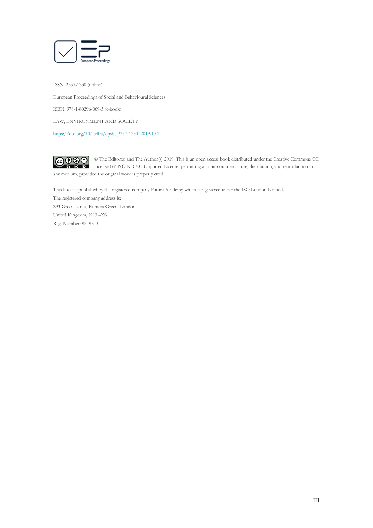

ISSN: 2357-1330 (online). European Proceedings of Social and Behavioural Sciences ISBN: 978-1-80296-069-3 (e-book) LAW, ENVIRONMENT AND SOCIETY [https://doi.org/10.15405/epsbs\(2357-1330\).2019.10.1](https://doi.org/10.15405/epsbs(2357-1330).2019.10.1)

 $\bigcirc \mathbf{0} \mathbf{0}$ © The Editor(s) and The Author(s) 2019. This is an open access book distributed under the Creative Commons CC License BY-NC-ND 4.0. Unported License, permitting all non-commercial use, distribution, and reproduction in any medium, provided the original work is properly cited.

This book is published by the registered company Future Academy which is registered under the ISO London Limited. The registered company address is: 293 Green Lanes, Palmers Green, London, United Kingdom, N13 4XS Reg. Number: 9219513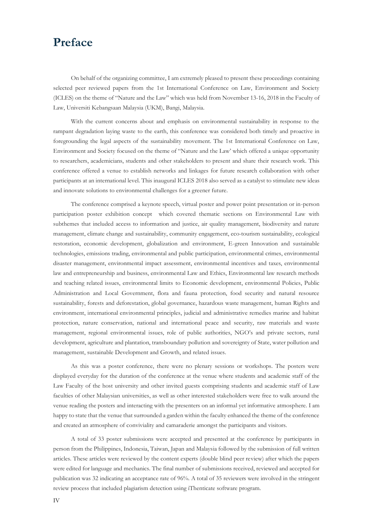# **Preface**

On behalf of the organizing committee, I am extremely pleased to present these proceedings containing selected peer reviewed papers from the 1st International Conference on Law, Environment and Society (ICLES) on the theme of "Nature and the Law" which was held from November 13-16, 2018 in the Faculty of Law, Universiti Kebangsaan Malaysia (UKM), Bangi, Malaysia.

With the current concerns about and emphasis on environmental sustainability in response to the rampant degradation laying waste to the earth, this conference was considered both timely and proactive in foregrounding the legal aspects of the sustainability movement. The 1st International Conference on Law, Environment and Society focused on the theme of "Nature and the Law' which offered a unique opportunity to researchers, academicians, students and other stakeholders to present and share their research work. This conference offered a venue to establish networks and linkages for future research collaboration with other participants at an international level. This inaugural ICLES 2018 also served as a catalyst to stimulate new ideas and innovate solutions to environmental challenges for a greener future.

The conference comprised a keynote speech, virtual poster and power point presentation or in-person participation poster exhibition concept which covered thematic sections on Environmental Law with subthemes that included access to information and justice, air quality management, biodiversity and nature management, climate change and sustainability, community engagement, eco-tourism sustainability, ecological restoration, economic development, globalization and environment, E-green Innovation and sustainable technologies, emissions trading, environmental and public participation, environmental crimes, environmental disaster management, environmental impact assessment, environmental incentives and taxes, environmental law and entrepreneurship and business, environmental Law and Ethics, Environmental law research methods and teaching related issues, environmental limits to Economic development, environmental Policies, Public Administration and Local Government, flora and fauna protection, food security and natural resource sustainability, forests and deforestation, global governance, hazardous waste management, human Rights and environment, international environmental principles, judicial and administrative remedies marine and habitat protection, nature conservation, national and international peace and security, raw materials and waste management, regional environmental issues, role of public authorities, NGO's and private sectors, rural development, agriculture and plantation, transboundary pollution and sovereignty of State, water pollution and management, sustainable Development and Growth, and related issues.

As this was a poster conference, there were no plenary sessions or workshops. The posters were displayed everyday for the duration of the conference at the venue where students and academic staff of the Law Faculty of the host university and other invited guests comprising students and academic staff of Law faculties of other Malaysian universities, as well as other interested stakeholders were free to walk around the venue reading the posters and interacting with the presenters on an informal yet informative atmosphere. I am happy to state that the venue that surrounded a garden within the faculty enhanced the theme of the conference and created an atmosphere of conviviality and camaraderie amongst the participants and visitors.

A total of 33 poster submissions were accepted and presented at the conference by participants in person from the Philippines, Indonesia, Taiwan, Japan and Malaysia followed by the submission of full written articles. These articles were reviewed by the content experts (double blind peer review) after which the papers were edited for language and mechanics. The final number of submissions received, reviewed and accepted for publication was 32 indicating an acceptance rate of 96%. A total of 35 reviewers were involved in the stringent review process that included plagiarism detection using iThenticate software program.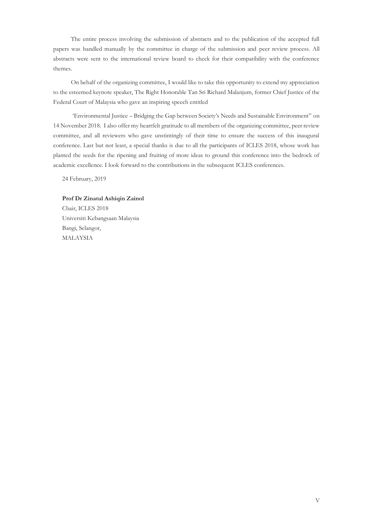The entire process involving the submission of abstracts and to the publication of the accepted full papers was handled manually by the committee in charge of the submission and peer review process. All abstracts were sent to the international review board to check for their compatibility with the conference themes.

On behalf of the organizing committee, I would like to take this opportunity to extend my appreciation to the esteemed keynote speaker, The Right Honorable Tan Sri Richard Malanjum, former Chief Justice of the Federal Court of Malaysia who gave an inspiring speech entitled

'Environmental Justice – Bridging the Gap between Society's Needs and Sustainable Environment" on 14 November 2018. I also offer my heartfelt gratitude to all members of the organizing committee, peer review committee, and all reviewers who gave unstintingly of their time to ensure the success of this inaugural conference. Last but not least, a special thanks is due to all the participants of ICLES 2018, whose work has planted the seeds for the ripening and fruiting of more ideas to ground this conference into the bedrock of academic excellence. I look forward to the contributions in the subsequent ICLES conferences.

24 February, 2019

# **Prof Dr Zinatul Ashiqin Zainol** Chair, ICLES 2018 Universiti Kebangsaan Malaysia

Bangi, Selangor, MALAYSIA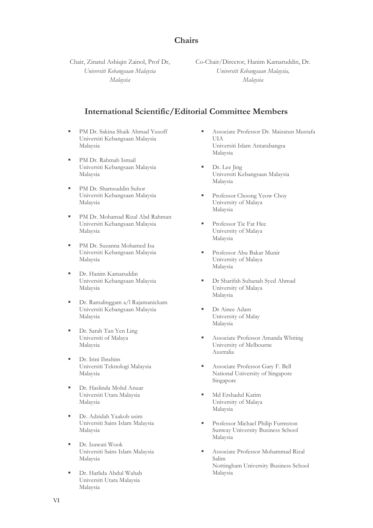### **Chairs**

Chair, Zinatul Ashiqin Zainol, Prof Dr, *Universiti Kebangsaan Malaysia Malaysia*

Co-Chair/Director, Hanim Kamaruddin, Dr. *Universiti Kebangsaan Malaysia, Malaysia*

### **International Scientific/Editorial Committee Members**

- PM Dr. Sakina Shaik Ahmad Yusoff Universiti Kebangsaan Malaysia Malaysia
- PM Dr. Rahmah Ismail Universiti Kebangsaan Malaysia Malaysia
- **PM Dr. Shamsuddin Suhor** Universiti Kebangsaan Malaysia Malaysia
- PM Dr. Mohamad Rizal Abd Rahman Universiti Kebangsaan Malaysia Malaysia
- PM Dr. Suzanna Mohamed Isa Universiti Kebangsaan Malaysia Malaysia
- **•** Dr. Hanim Kamaruddin Universiti Kebangsaan Malaysia Malaysia
- Dr. Ramalinggam a/l Rajamanickam Universiti Kebangsaan Malaysia Malaysia
- Dr. Sarah Tan Yen Ling Universiti of Malaya Malaysia
- Dr. Irini Ibrahim Universiti Teknologi Malaysia Malaysia
- Dr. Haslinda Mohd Anuar Universiti Utara Malaysia Malaysia
- Dr. Adzidah Yaakob usim Universiti Sains Islam Malaysia Malaysia
- Dr. Izawati Wook Universiti Sains Islam Malaysia Malaysia
- Dr. Harlida Abdul Wahab Universiti Utara Malaysia Malaysia
- Associate Professor Dr. Maizatun Mustafa UIA Universiti Islam Antarabangsa Malaysia
- Dr. Lee Jing Universiti Kebangsaan Malaysia Malaysia
- Professor Choong Yeow Choy University of Malaya Malaysia
- Professor Tie Fat Hee University of Malaya Malaysia
- Professor Abu Bakar Munir University of Malaya Malaysia
- Dr Sharifah Suhanah Syed Ahmad University of Malaya Malaysia
- Dr Ainee Adam University of Malay Malaysia
- Associate Professor Amanda Whiting University of Melbourne Australia
- Associate Professor Gary F. Bell National University of Singapore Singapore
- Md Ershadul Karim University of Malaya Malaysia
- **Professor Michael Philip Furmston** Sunway University Business School Malaysia
- Associate Professor Mohammad Rizal Salim Nottingham University Business School Malaysia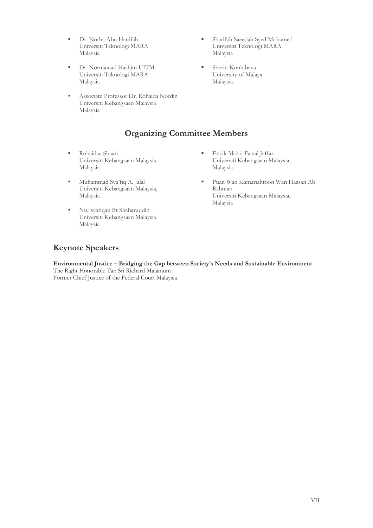- Dr. Norha Abu Hanifah Universiti Teknologi MARA Malaysia
- Dr. Normawati Hashim UITM Universiti Teknologi MARA Malaysia
- Associate Professor Dr. Rohaida Nordin Universiti Kebangsaan Malaysia Malaysia

## **Organizing Committee Members**

- Rohaidaa Shaari Universiti Kebangsaan Malaysia, Malaysia
- Muhammad Sya'fiq A. Jalal Universiti Kebangsaan Malaysia, Malaysia
- Nur'syafiqah Bt Shaharuddin Universiti Kebangsaan Malaysia, Malaysia
- Sharifah Saeedah Syed Mohamed Universiti Teknologi MARA Malaysia
- Sherin Kunhibava University of Malaya Malaysia

- **Encik Mohd Faizal Jaffar** Universiti Kebangsaan Malaysia, Malaysia
- Puan Wan Kamariahtoon Wan Hassan Ab Rahman Universiti Kebangsaan Malaysia, Malaysia

### **Keynote Speakers**

**Environmental Justice – Bridging the Gap between Society's Needs and Sustainable Environment** The Right Honorable Tan Sri Richard Malanjum Former Chief Justice of the Federal Court Malaysia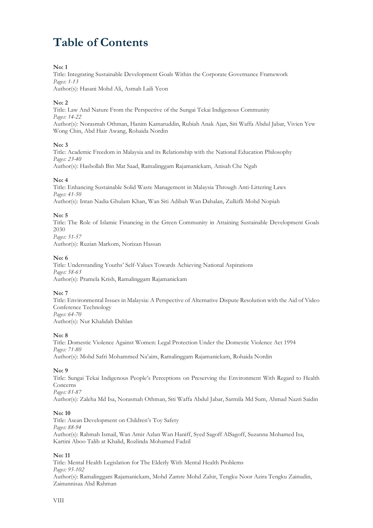# **Table of Contents**

#### **No: 1**

Title: Integrating Sustainable Development Goals Within the Corporate Governance Framework *Pages: 1-13*

Author(s): Hasani Mohd Ali, Asmah Laili Yeon

#### **No: 2**

Title: Law And Nature From the Perspective of the Sungai Tekai Indigenous Community *Pages: 14-22* Author(s): Norasmah Othman, Hanim Kamaruddin, Rubiah Anak Ajan, Siti Waffa Abdul Jabar, Vivien Yew Wong Chin, Abd Hair Awang, Rohaida Nordin

#### **No: 3**

Title: Academic Freedom in Malaysia and its Relationship with the National Education Philosophy *Pages: 23-40* Author(s): Hasbollah Bin Mat Saad, Ramalinggam Rajamanickam, Anisah Che Ngah

#### **No: 4**

Title: Enhancing Sustainable Solid Waste Management in Malaysia Through Anti-Littering Laws *Pages: 41-50* Author(s): Intan Nadia Ghulam Khan, Wan Siti Adibah Wan Dahalan, Zulkifli Mohd Nopiah

#### **No: 5**

Title: The Role of Islamic Financing in the Green Community in Attaining Sustainable Development Goals 2030 *Pages: 51-57*

Author(s): Ruzian Markom, Norizan Hassan

#### **No: 6**

Title: Understanding Youths' Self-Values Towards Achieving National Aspirations *Pages: 58-63* Author(s): Pramela Krish, Ramalinggam Rajamanickam

#### **No: 7**

Title: Environmental Issues in Malaysia: A Perspective of Alternative Dispute Resolution with the Aid of Video Conference Technology *Pages: 64-70* Author(s): Nur Khalidah Dahlan

#### **No: 8**

Title: Domestic Violence Against Women: Legal Protection Under the Domestic Violence Act 1994 *Pages: 71-80* Author(s): Mohd Safri Mohammed Na'aim, Ramalinggam Rajamanickam, Rohaida Nordin

#### **No: 9**

Title: Sungai Tekai Indigenous People's Perceptions on Preserving the Environment With Regard to Health Concerns *Pages: 81-87*

Author(s): Zaleha Md Isa, Norasmah Othman, Siti Waffa Abdul Jabar, Sarmila Md Sum, Ahmad Nazri Saidin

#### **No: 10**

Title: Asean Development on Children's Toy Safety *Pages: 88-94* Author(s): Rahmah Ismail, Wan Amir Azlan Wan Haniff, Syed Sagoff AlSagoff, Suzanna Mohamed Isa, Kartini Aboo Talib at Khalid, Rozlinda Mohamed Fadzil

#### **No: 11**

Title: Mental Health Legislation for The Elderly With Mental Health Problems *Pages: 95-102* Author(s): Ramalinggam Rajamanickam, Mohd Zamre Mohd Zahir, Tengku Noor Azira Tengku Zainudin, Zainunnisaa Abd Rahman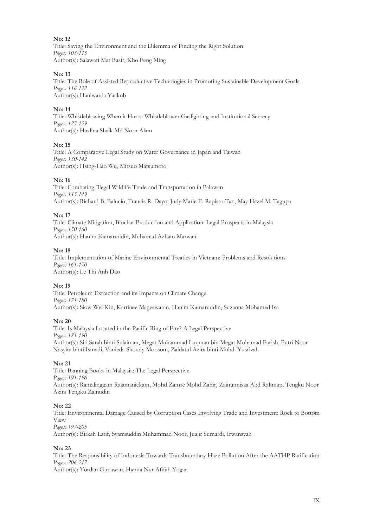#### **No: 12**

Title: Saving the Environment and the Dilemma of Finding the Right Solution *Pages: 103-115* Author(s): Salawati Mat Basir, Kho Feng Ming

#### **No: 13**

Title: The Role of Assisted Reproductive Technologies in Promoting Sustainable Development Goals *Pages: 116-122* Author(s): Haniwarda Yaakob

#### **No: 14**

Title: Whistleblowing When it Hurts: Whistleblower Gaslighting and Institutional Secrecy *Pages: 123-129* Author(s): Hazlina Shaik Md Noor Alam

#### **No: 15**

Title: A Comparative Legal Study on Water Governance in Japan and Taiwan *Pages: 130-142* Author(s): Hsing-Hao Wu, Mitsuo Matsumoto

#### **No: 16**

Title: Combating Illegal Wildlife Trade and Transportation in Palawan *Pages: 143-149* Author(s): Richard B. Balucio, Francis R. Dayo, Judy Marie E. Rapista-Tan, May Hazel M. Tagupa

#### **No: 17**

Title: Climate Mitigation, Biochar Production and Application: Legal Prospects in Malaysia *Pages: 150-160* Author(s): Hanim Kamaruddin, Muhamad Azham Marwan

#### **No: 18**

Title: Implementation of Marine Environmental Treaties in Vietnam: Problems and Resolutions *Pages: 161-170* Author(s): Le Thi Anh Dao

#### **No: 19**

Title: Petroleum Extraction and its Impacts on Climate Change *Pages: 171-180* Author(s): Siow Wei Kin, Kartinee Mageswaran, Hanim Kamaruddin, Suzanna Mohamed Isa

#### **No: 20**

Title: Is Malaysia Located in the Pacific Ring of Fire? A Legal Perspective *Pages: 181-190* Author(s): Siti Sarah binti Sulaiman, Megat Muhammad Luqman bin Megat Mohamad Farish, Putri Noor Nasyira binti Ismadi, Vanieda Shoudy Moosom, Zaidatul Azira binti Muhd. Yusrizal

#### **No: 21**

Title: Banning Books in Malaysia: The Legal Perspective *Pages: 191-196* Author(s): Ramalinggam Rajamanickam, Mohd Zamre Mohd Zahir, Zainunnisaa Abd Rahman, Tengku Noor Azira Tengku Zainudin

#### **No: 22**

Title: Environmental Damage Caused by Corruption Cases Involving Trade and Investment: Rock to Bottom View *Pages: 197-205*

Author(s): Birkah Latif, Syamsuddin Muhammad Noor, Juajir Sumardi, Irwansyah

#### **No: 23**

Title: The Responsibility of Indonesia Towards Transboundary Haze Pollution After the AATHP Ratification *Pages: 206-217*

Author(s): Yordan Gunawan, Hanna Nur Afifah Yogar